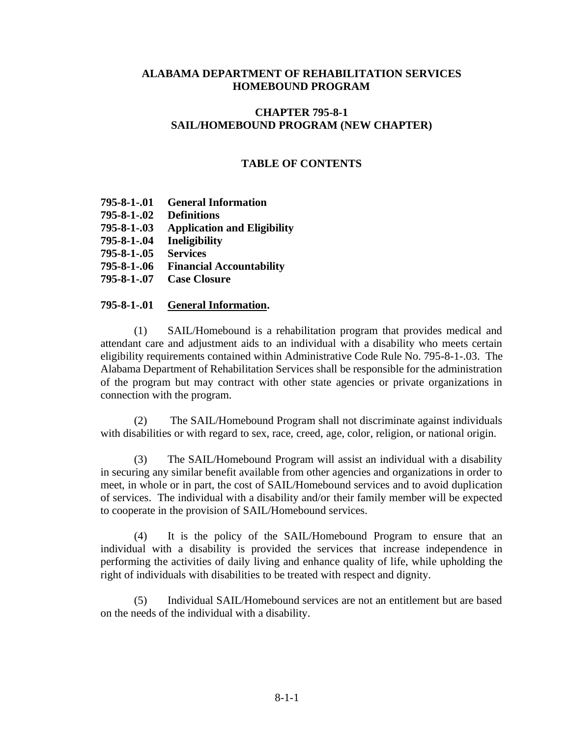#### **ALABAMA DEPARTMENT OF REHABILITATION SERVICES HOMEBOUND PROGRAM**

# **CHAPTER 795-8-1 SAIL/HOMEBOUND PROGRAM (NEW CHAPTER)**

## **TABLE OF CONTENTS**

- **795-8-1-.01 General Information 795-8-1-.02 Definitions 795-8-1-.03 Application and Eligibility 795-8-1-.04 Ineligibility 795-8-1-.05 Services 795-8-1-.06 Financial Accountability**
- **795-8-1-.07 Case Closure**

#### **795-8-1-.01 General Information.**

(1) SAIL/Homebound is a rehabilitation program that provides medical and attendant care and adjustment aids to an individual with a disability who meets certain eligibility requirements contained within Administrative Code Rule No. 795-8-1-.03. The Alabama Department of Rehabilitation Services shall be responsible for the administration of the program but may contract with other state agencies or private organizations in connection with the program.

(2) The SAIL/Homebound Program shall not discriminate against individuals with disabilities or with regard to sex, race, creed, age, color, religion, or national origin.

(3) The SAIL/Homebound Program will assist an individual with a disability in securing any similar benefit available from other agencies and organizations in order to meet, in whole or in part, the cost of SAIL/Homebound services and to avoid duplication of services. The individual with a disability and/or their family member will be expected to cooperate in the provision of SAIL/Homebound services.

(4) It is the policy of the SAIL/Homebound Program to ensure that an individual with a disability is provided the services that increase independence in performing the activities of daily living and enhance quality of life, while upholding the right of individuals with disabilities to be treated with respect and dignity.

(5) Individual SAIL/Homebound services are not an entitlement but are based on the needs of the individual with a disability.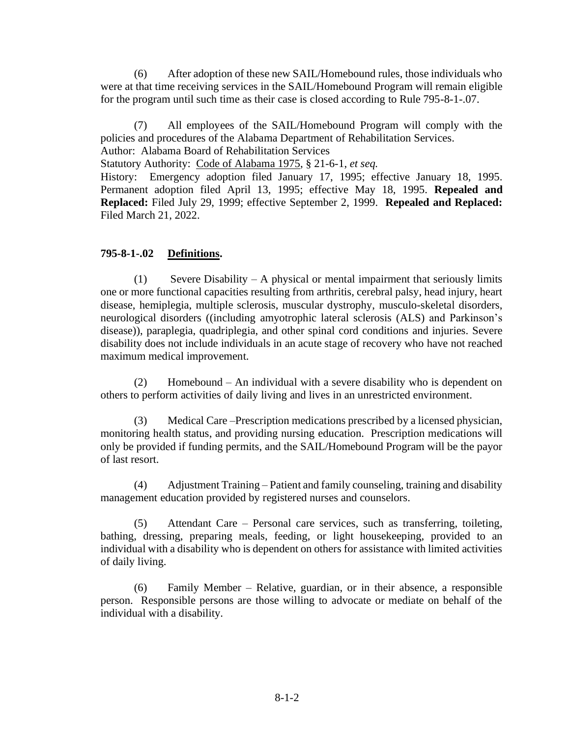(6) After adoption of these new SAIL/Homebound rules, those individuals who were at that time receiving services in the SAIL/Homebound Program will remain eligible for the program until such time as their case is closed according to Rule 795-8-1-.07.

(7) All employees of the SAIL/Homebound Program will comply with the policies and procedures of the Alabama Department of Rehabilitation Services. Author: Alabama Board of Rehabilitation Services

Statutory Authority: Code of Alabama 1975, § 21-6-1, *et seq.*

History: Emergency adoption filed January 17, 1995; effective January 18, 1995. Permanent adoption filed April 13, 1995; effective May 18, 1995. **Repealed and Replaced:** Filed July 29, 1999; effective September 2, 1999. **Repealed and Replaced:**  Filed March 21, 2022.

## **795-8-1-.02 Definitions.**

(1) Severe Disability – A physical or mental impairment that seriously limits one or more functional capacities resulting from arthritis, cerebral palsy, head injury, heart disease, hemiplegia, multiple sclerosis, muscular dystrophy, musculo-skeletal disorders, neurological disorders ((including amyotrophic lateral sclerosis (ALS) and Parkinson's disease)), paraplegia, quadriplegia, and other spinal cord conditions and injuries. Severe disability does not include individuals in an acute stage of recovery who have not reached maximum medical improvement.

(2) Homebound – An individual with a severe disability who is dependent on others to perform activities of daily living and lives in an unrestricted environment.

(3) Medical Care –Prescription medications prescribed by a licensed physician, monitoring health status, and providing nursing education. Prescription medications will only be provided if funding permits, and the SAIL/Homebound Program will be the payor of last resort.

(4) Adjustment Training – Patient and family counseling, training and disability management education provided by registered nurses and counselors.

(5) Attendant Care – Personal care services, such as transferring, toileting, bathing, dressing, preparing meals, feeding, or light housekeeping, provided to an individual with a disability who is dependent on others for assistance with limited activities of daily living.

(6) Family Member – Relative, guardian, or in their absence, a responsible person. Responsible persons are those willing to advocate or mediate on behalf of the individual with a disability.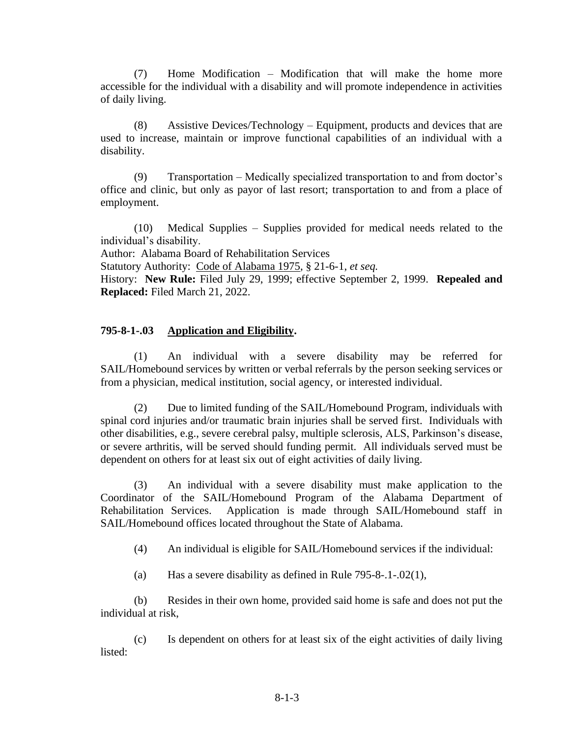(7) Home Modification – Modification that will make the home more accessible for the individual with a disability and will promote independence in activities of daily living.

(8) Assistive Devices/Technology – Equipment, products and devices that are used to increase, maintain or improve functional capabilities of an individual with a disability.

(9) Transportation – Medically specialized transportation to and from doctor's office and clinic, but only as payor of last resort; transportation to and from a place of employment.

(10) Medical Supplies – Supplies provided for medical needs related to the individual's disability.

Author: Alabama Board of Rehabilitation Services

Statutory Authority: Code of Alabama 1975, § 21-6-1, *et seq.*

History: **New Rule:** Filed July 29, 1999; effective September 2, 1999. **Repealed and Replaced:** Filed March 21, 2022.

## **795-8-1-.03 Application and Eligibility.**

(1) An individual with a severe disability may be referred for SAIL/Homebound services by written or verbal referrals by the person seeking services or from a physician, medical institution, social agency, or interested individual.

(2) Due to limited funding of the SAIL/Homebound Program, individuals with spinal cord injuries and/or traumatic brain injuries shall be served first. Individuals with other disabilities, e.g., severe cerebral palsy, multiple sclerosis, ALS, Parkinson's disease, or severe arthritis, will be served should funding permit. All individuals served must be dependent on others for at least six out of eight activities of daily living.

(3) An individual with a severe disability must make application to the Coordinator of the SAIL/Homebound Program of the Alabama Department of Rehabilitation Services. Application is made through SAIL/Homebound staff in SAIL/Homebound offices located throughout the State of Alabama.

- (4) An individual is eligible for SAIL/Homebound services if the individual:
- (a) Has a severe disability as defined in Rule 795-8-.1-.02(1),

(b) Resides in their own home, provided said home is safe and does not put the individual at risk,

(c) Is dependent on others for at least six of the eight activities of daily living listed: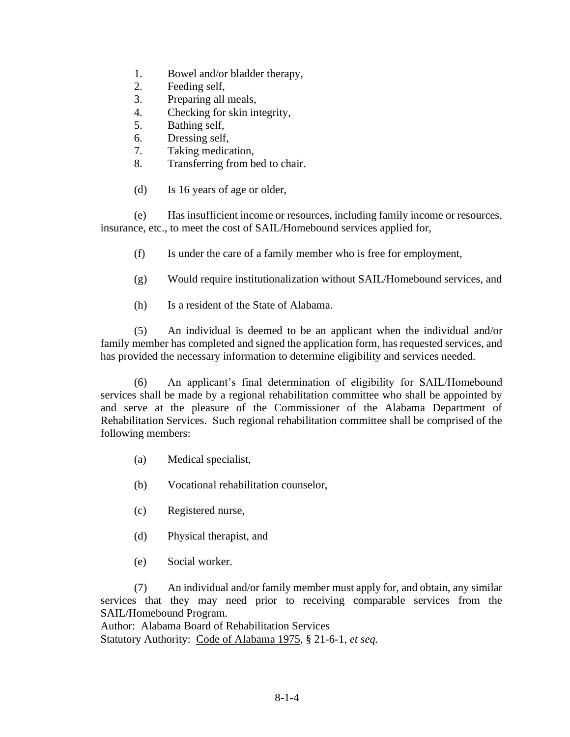- 1. Bowel and/or bladder therapy,
- 2. Feeding self,
- 3. Preparing all meals,
- 4. Checking for skin integrity,
- 5. Bathing self,
- 6. Dressing self,
- 7. Taking medication,
- 8. Transferring from bed to chair.
- (d) Is 16 years of age or older,

(e) Has insufficient income or resources, including family income or resources, insurance, etc., to meet the cost of SAIL/Homebound services applied for,

- (f) Is under the care of a family member who is free for employment,
- (g) Would require institutionalization without SAIL/Homebound services, and
- (h) Is a resident of the State of Alabama.

(5) An individual is deemed to be an applicant when the individual and/or family member has completed and signed the application form, has requested services, and has provided the necessary information to determine eligibility and services needed.

(6) An applicant's final determination of eligibility for SAIL/Homebound services shall be made by a regional rehabilitation committee who shall be appointed by and serve at the pleasure of the Commissioner of the Alabama Department of Rehabilitation Services. Such regional rehabilitation committee shall be comprised of the following members:

- (a) Medical specialist,
- (b) Vocational rehabilitation counselor,
- (c) Registered nurse,
- (d) Physical therapist, and
- (e) Social worker.

(7) An individual and/or family member must apply for, and obtain, any similar services that they may need prior to receiving comparable services from the SAIL/Homebound Program.

Author: Alabama Board of Rehabilitation Services

Statutory Authority: Code of Alabama 1975, § 21-6-1, *et seq.*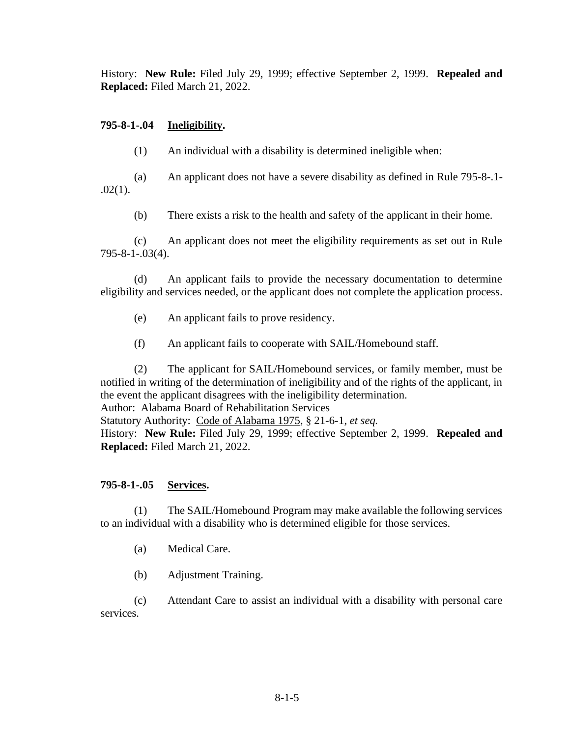History: **New Rule:** Filed July 29, 1999; effective September 2, 1999. **Repealed and Replaced:** Filed March 21, 2022.

# **795-8-1-.04 Ineligibility.**

(1) An individual with a disability is determined ineligible when:

(a) An applicant does not have a severe disability as defined in Rule 795-8-.1-  $.02(1).$ 

(b) There exists a risk to the health and safety of the applicant in their home.

(c) An applicant does not meet the eligibility requirements as set out in Rule 795-8-1-.03(4).

(d) An applicant fails to provide the necessary documentation to determine eligibility and services needed, or the applicant does not complete the application process.

- (e) An applicant fails to prove residency.
- (f) An applicant fails to cooperate with SAIL/Homebound staff.

(2) The applicant for SAIL/Homebound services, or family member, must be notified in writing of the determination of ineligibility and of the rights of the applicant, in the event the applicant disagrees with the ineligibility determination. Author: Alabama Board of Rehabilitation Services Statutory Authority: Code of Alabama 1975, § 21-6-1, *et seq.* History: **New Rule:** Filed July 29, 1999; effective September 2, 1999. **Repealed and Replaced:** Filed March 21, 2022.

# **795-8-1-.05 Services.**

(1) The SAIL/Homebound Program may make available the following services to an individual with a disability who is determined eligible for those services.

- (a) Medical Care.
- (b) Adjustment Training.

(c) Attendant Care to assist an individual with a disability with personal care services.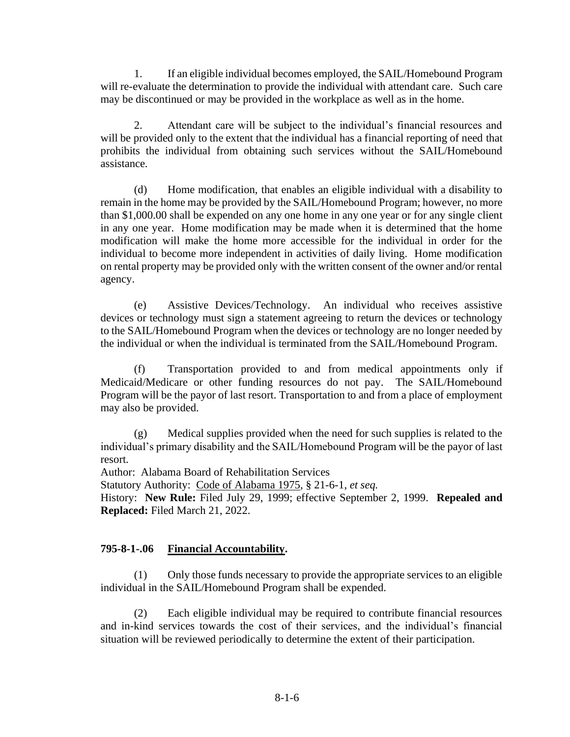1. If an eligible individual becomes employed, the SAIL/Homebound Program will re-evaluate the determination to provide the individual with attendant care. Such care may be discontinued or may be provided in the workplace as well as in the home.

2. Attendant care will be subject to the individual's financial resources and will be provided only to the extent that the individual has a financial reporting of need that prohibits the individual from obtaining such services without the SAIL/Homebound assistance.

(d) Home modification, that enables an eligible individual with a disability to remain in the home may be provided by the SAIL/Homebound Program; however, no more than \$1,000.00 shall be expended on any one home in any one year or for any single client in any one year. Home modification may be made when it is determined that the home modification will make the home more accessible for the individual in order for the individual to become more independent in activities of daily living. Home modification on rental property may be provided only with the written consent of the owner and/or rental agency.

(e) Assistive Devices/Technology. An individual who receives assistive devices or technology must sign a statement agreeing to return the devices or technology to the SAIL/Homebound Program when the devices or technology are no longer needed by the individual or when the individual is terminated from the SAIL/Homebound Program.

(f) Transportation provided to and from medical appointments only if Medicaid/Medicare or other funding resources do not pay. The SAIL/Homebound Program will be the payor of last resort. Transportation to and from a place of employment may also be provided.

(g) Medical supplies provided when the need for such supplies is related to the individual's primary disability and the SAIL/Homebound Program will be the payor of last resort.

Author: Alabama Board of Rehabilitation Services

Statutory Authority: Code of Alabama 1975, § 21-6-1, *et seq.*

History: **New Rule:** Filed July 29, 1999; effective September 2, 1999. **Repealed and Replaced:** Filed March 21, 2022.

# **795-8-1-.06 Financial Accountability.**

(1) Only those funds necessary to provide the appropriate services to an eligible individual in the SAIL/Homebound Program shall be expended.

(2) Each eligible individual may be required to contribute financial resources and in-kind services towards the cost of their services, and the individual's financial situation will be reviewed periodically to determine the extent of their participation.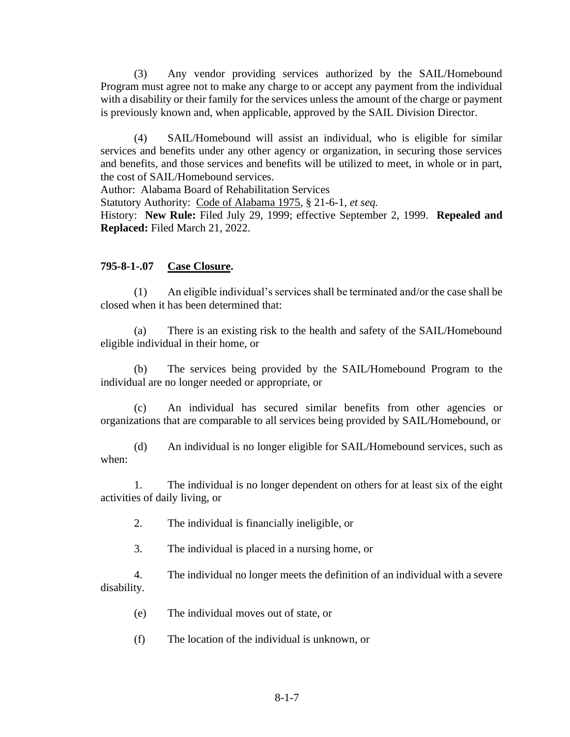(3) Any vendor providing services authorized by the SAIL/Homebound Program must agree not to make any charge to or accept any payment from the individual with a disability or their family for the services unless the amount of the charge or payment is previously known and, when applicable, approved by the SAIL Division Director.

(4) SAIL/Homebound will assist an individual, who is eligible for similar services and benefits under any other agency or organization, in securing those services and benefits, and those services and benefits will be utilized to meet, in whole or in part, the cost of SAIL/Homebound services.

Author: Alabama Board of Rehabilitation Services

Statutory Authority: Code of Alabama 1975, § 21-6-1, *et seq.*

History: **New Rule:** Filed July 29, 1999; effective September 2, 1999. **Repealed and Replaced:** Filed March 21, 2022.

#### **795-8-1-.07 Case Closure.**

(1) An eligible individual's services shall be terminated and/or the case shall be closed when it has been determined that:

There is an existing risk to the health and safety of the SAIL/Homebound eligible individual in their home, or

(b) The services being provided by the SAIL/Homebound Program to the individual are no longer needed or appropriate, or

(c) An individual has secured similar benefits from other agencies or organizations that are comparable to all services being provided by SAIL/Homebound, or

(d) An individual is no longer eligible for SAIL/Homebound services, such as when:

1. The individual is no longer dependent on others for at least six of the eight activities of daily living, or

2. The individual is financially ineligible, or

3. The individual is placed in a nursing home, or

4. The individual no longer meets the definition of an individual with a severe disability.

(e) The individual moves out of state, or

(f) The location of the individual is unknown, or